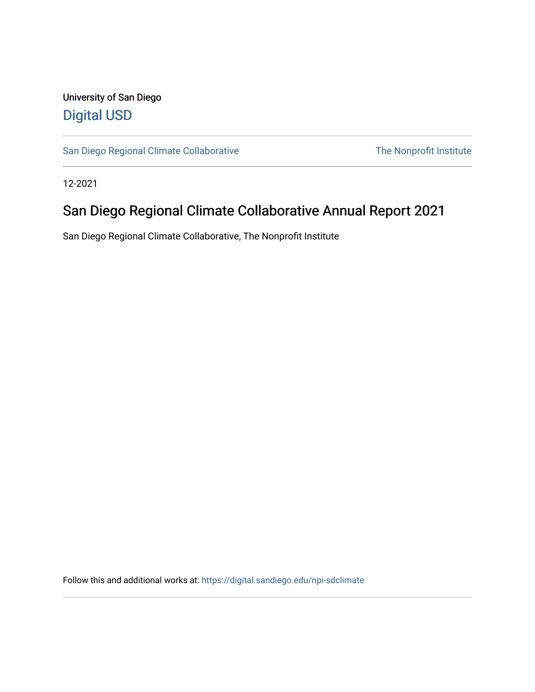#### University of San Diego [Digital USD](https://digital.sandiego.edu/)

[San Diego Regional Climate Collaborative](https://digital.sandiego.edu/npi-sdclimate) The Nonprofit Institute

12-2021

#### San Diego Regional Climate Collaborative Annual Report 2021

San Diego Regional Climate Collaborative, The Nonprofit Institute

Follow this and additional works at: [https://digital.sandiego.edu/npi-sdclimate](https://digital.sandiego.edu/npi-sdclimate?utm_source=digital.sandiego.edu%2Fnpi-sdclimate%2F18&utm_medium=PDF&utm_campaign=PDFCoverPages)